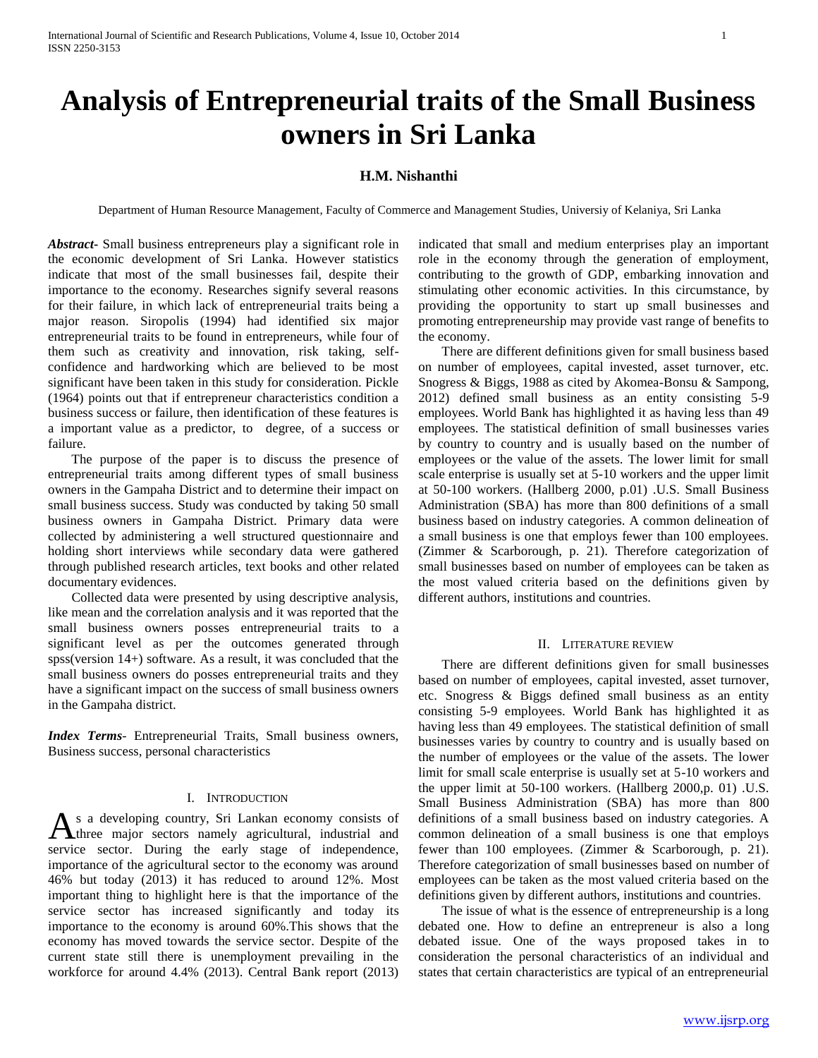# **Analysis of Entrepreneurial traits of the Small Business owners in Sri Lanka**

# **H.M. Nishanthi**

Department of Human Resource Management, Faculty of Commerce and Management Studies, Universiy of Kelaniya, Sri Lanka

*Abstract***-** Small business entrepreneurs play a significant role in the economic development of Sri Lanka. However statistics indicate that most of the small businesses fail, despite their importance to the economy. Researches signify several reasons for their failure, in which lack of entrepreneurial traits being a major reason. Siropolis (1994) had identified six major entrepreneurial traits to be found in entrepreneurs, while four of them such as creativity and innovation, risk taking, selfconfidence and hardworking which are believed to be most significant have been taken in this study for consideration. Pickle (1964) points out that if entrepreneur characteristics condition a business success or failure, then identification of these features is a important value as a predictor, to degree, of a success or failure.

 The purpose of the paper is to discuss the presence of entrepreneurial traits among different types of small business owners in the Gampaha District and to determine their impact on small business success. Study was conducted by taking 50 small business owners in Gampaha District. Primary data were collected by administering a well structured questionnaire and holding short interviews while secondary data were gathered through published research articles, text books and other related documentary evidences.

 Collected data were presented by using descriptive analysis, like mean and the correlation analysis and it was reported that the small business owners posses entrepreneurial traits to a significant level as per the outcomes generated through spss(version 14+) software. As a result, it was concluded that the small business owners do posses entrepreneurial traits and they have a significant impact on the success of small business owners in the Gampaha district.

*Index Terms*- Entrepreneurial Traits, Small business owners, Business success, personal characteristics

# I. INTRODUCTION

s a developing country, Sri Lankan economy consists of As a developing country, Sri Lankan economy consists of three major sectors namely agricultural, industrial and service sector. During the early stage of independence, importance of the agricultural sector to the economy was around 46% but today (2013) it has reduced to around 12%. Most important thing to highlight here is that the importance of the service sector has increased significantly and today its importance to the economy is around 60%.This shows that the economy has moved towards the service sector. Despite of the current state still there is unemployment prevailing in the workforce for around 4.4% (2013). Central Bank report (2013)

indicated that small and medium enterprises play an important role in the economy through the generation of employment, contributing to the growth of GDP, embarking innovation and stimulating other economic activities. In this circumstance, by providing the opportunity to start up small businesses and promoting entrepreneurship may provide vast range of benefits to the economy.

 There are different definitions given for small business based on number of employees, capital invested, asset turnover, etc. Snogress & Biggs, 1988 as cited by Akomea-Bonsu & Sampong, 2012) defined small business as an entity consisting 5-9 employees. World Bank has highlighted it as having less than 49 employees. The statistical definition of small businesses varies by country to country and is usually based on the number of employees or the value of the assets. The lower limit for small scale enterprise is usually set at 5-10 workers and the upper limit at 50-100 workers. (Hallberg 2000, p.01) .U.S. Small Business Administration (SBA) has more than 800 definitions of a small business based on industry categories. A common delineation of a small business is one that employs fewer than 100 employees. (Zimmer & Scarborough, p. 21). Therefore categorization of small businesses based on number of employees can be taken as the most valued criteria based on the definitions given by different authors, institutions and countries.

## II. LITERATURE REVIEW

 There are different definitions given for small businesses based on number of employees, capital invested, asset turnover, etc. Snogress & Biggs defined small business as an entity consisting 5-9 employees. World Bank has highlighted it as having less than 49 employees. The statistical definition of small businesses varies by country to country and is usually based on the number of employees or the value of the assets. The lower limit for small scale enterprise is usually set at 5-10 workers and the upper limit at 50-100 workers. (Hallberg 2000,p. 01) .U.S. Small Business Administration (SBA) has more than 800 definitions of a small business based on industry categories. A common delineation of a small business is one that employs fewer than 100 employees. (Zimmer & Scarborough, p. 21). Therefore categorization of small businesses based on number of employees can be taken as the most valued criteria based on the definitions given by different authors, institutions and countries.

 The issue of what is the essence of entrepreneurship is a long debated one. How to define an entrepreneur is also a long debated issue. One of the ways proposed takes in to consideration the personal characteristics of an individual and states that certain characteristics are typical of an entrepreneurial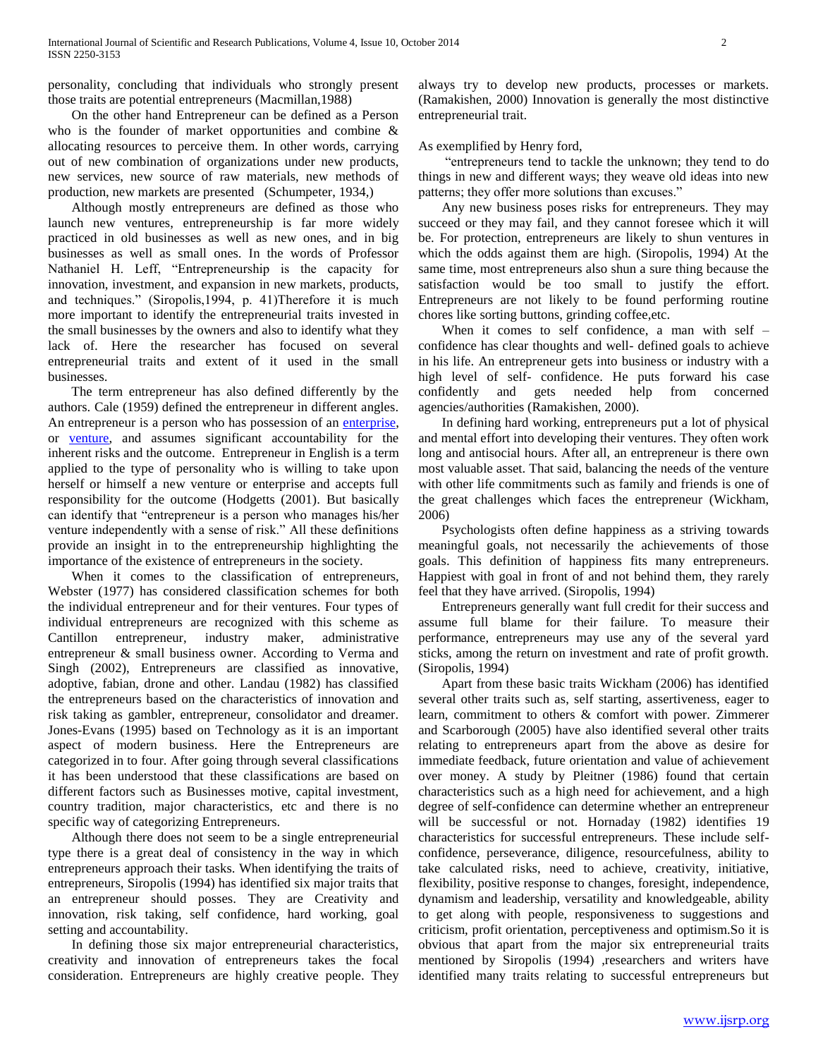personality, concluding that individuals who strongly present those traits are potential entrepreneurs (Macmillan,1988)

 On the other hand Entrepreneur can be defined as a Person who is the founder of market opportunities and combine & allocating resources to perceive them. In other words, carrying out of new combination of organizations under new products, new services, new source of raw materials, new methods of production, new markets are presented (Schumpeter, 1934,)

 Although mostly entrepreneurs are defined as those who launch new ventures, entrepreneurship is far more widely practiced in old businesses as well as new ones, and in big businesses as well as small ones. In the words of Professor Nathaniel H. Leff, "Entrepreneurship is the capacity for innovation, investment, and expansion in new markets, products, and techniques." (Siropolis,1994, p. 41)Therefore it is much more important to identify the entrepreneurial traits invested in the small businesses by the owners and also to identify what they lack of. Here the researcher has focused on several entrepreneurial traits and extent of it used in the small businesses.

 The term entrepreneur has also defined differently by the authors. Cale (1959) defined the entrepreneur in different angles. An entrepreneur is a person who has possession of an [enterprise,](http://en.wikipedia.org/wiki/Organization)  or [venture,](http://en.wikipedia.org/wiki/Venture) and assumes significant accountability for the inherent risks and the outcome. Entrepreneur in English is a term applied to the type of personality who is willing to take upon herself or himself a new venture or enterprise and accepts full responsibility for the outcome (Hodgetts (2001). But basically can identify that "entrepreneur is a person who manages his/her venture independently with a sense of risk." All these definitions provide an insight in to the entrepreneurship highlighting the importance of the existence of entrepreneurs in the society.

 When it comes to the classification of entrepreneurs, Webster (1977) has considered classification schemes for both the individual entrepreneur and for their ventures. Four types of individual entrepreneurs are recognized with this scheme as Cantillon entrepreneur, industry maker, administrative entrepreneur & small business owner. According to Verma and Singh (2002), Entrepreneurs are classified as innovative, adoptive, fabian, drone and other. Landau (1982) has classified the entrepreneurs based on the characteristics of innovation and risk taking as gambler, entrepreneur, consolidator and dreamer. Jones-Evans (1995) based on Technology as it is an important aspect of modern business. Here the Entrepreneurs are categorized in to four. After going through several classifications it has been understood that these classifications are based on different factors such as Businesses motive, capital investment, country tradition, major characteristics, etc and there is no specific way of categorizing Entrepreneurs.

 Although there does not seem to be a single entrepreneurial type there is a great deal of consistency in the way in which entrepreneurs approach their tasks. When identifying the traits of entrepreneurs, Siropolis (1994) has identified six major traits that an entrepreneur should posses. They are Creativity and innovation, risk taking, self confidence, hard working, goal setting and accountability.

 In defining those six major entrepreneurial characteristics, creativity and innovation of entrepreneurs takes the focal consideration. Entrepreneurs are highly creative people. They always try to develop new products, processes or markets. (Ramakishen, 2000) Innovation is generally the most distinctive entrepreneurial trait.

As exemplified by Henry ford,

 "entrepreneurs tend to tackle the unknown; they tend to do things in new and different ways; they weave old ideas into new patterns; they offer more solutions than excuses."

 Any new business poses risks for entrepreneurs. They may succeed or they may fail, and they cannot foresee which it will be. For protection, entrepreneurs are likely to shun ventures in which the odds against them are high. (Siropolis, 1994) At the same time, most entrepreneurs also shun a sure thing because the satisfaction would be too small to justify the effort. Entrepreneurs are not likely to be found performing routine chores like sorting buttons, grinding coffee,etc.

 When it comes to self confidence, a man with self – confidence has clear thoughts and well- defined goals to achieve in his life. An entrepreneur gets into business or industry with a high level of self- confidence. He puts forward his case confidently and gets needed help from concerned agencies/authorities (Ramakishen, 2000).

 In defining hard working, entrepreneurs put a lot of physical and mental effort into developing their ventures. They often work long and antisocial hours. After all, an entrepreneur is there own most valuable asset. That said, balancing the needs of the venture with other life commitments such as family and friends is one of the great challenges which faces the entrepreneur (Wickham, 2006)

 Psychologists often define happiness as a striving towards meaningful goals, not necessarily the achievements of those goals. This definition of happiness fits many entrepreneurs. Happiest with goal in front of and not behind them, they rarely feel that they have arrived. (Siropolis, 1994)

 Entrepreneurs generally want full credit for their success and assume full blame for their failure. To measure their performance, entrepreneurs may use any of the several yard sticks, among the return on investment and rate of profit growth. (Siropolis, 1994)

 Apart from these basic traits Wickham (2006) has identified several other traits such as, self starting, assertiveness, eager to learn, commitment to others & comfort with power. Zimmerer and Scarborough (2005) have also identified several other traits relating to entrepreneurs apart from the above as desire for immediate feedback, future orientation and value of achievement over money. A study by Pleitner (1986) found that certain characteristics such as a high need for achievement, and a high degree of self-confidence can determine whether an entrepreneur will be successful or not. Hornaday (1982) identifies 19 characteristics for successful entrepreneurs. These include selfconfidence, perseverance, diligence, resourcefulness, ability to take calculated risks, need to achieve, creativity, initiative, flexibility, positive response to changes, foresight, independence, dynamism and leadership, versatility and knowledgeable, ability to get along with people, responsiveness to suggestions and criticism, profit orientation, perceptiveness and optimism.So it is obvious that apart from the major six entrepreneurial traits mentioned by Siropolis (1994) ,researchers and writers have identified many traits relating to successful entrepreneurs but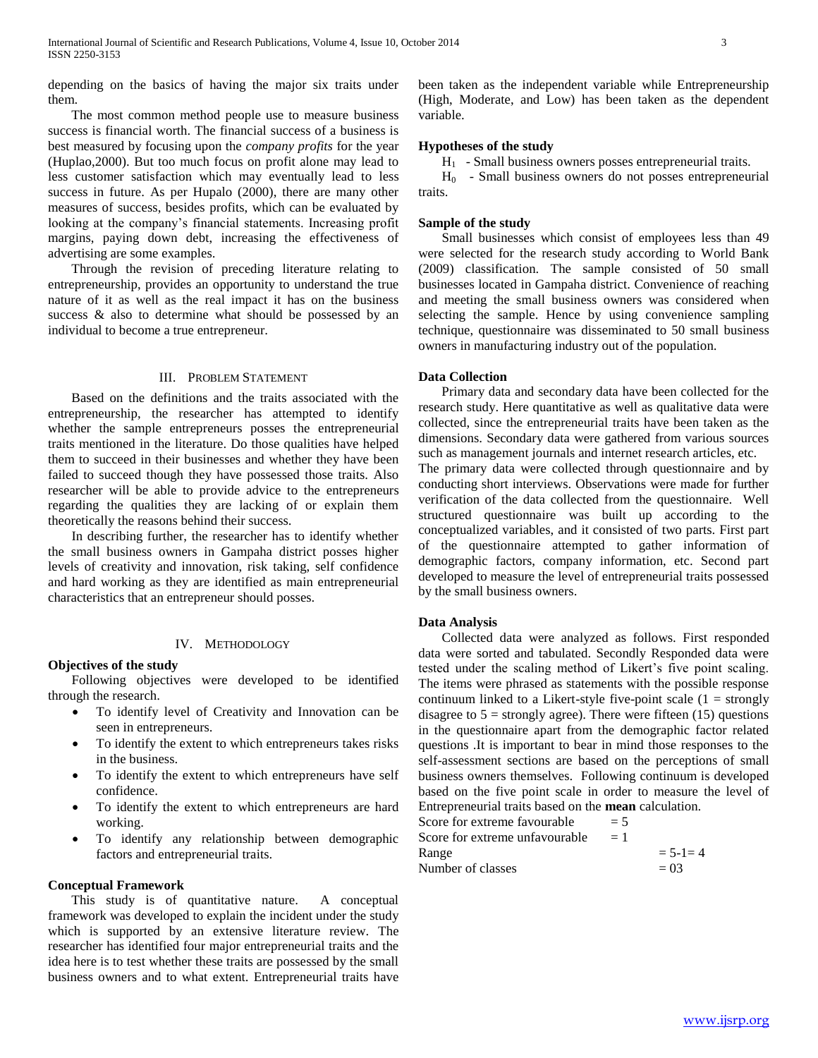depending on the basics of having the major six traits under them.

 The most common method people use to measure business success is financial worth. The financial success of a business is best measured by focusing upon the *company profits* for the year (Huplao,2000). But too much focus on profit alone may lead to less customer satisfaction which may eventually lead to less success in future. As per Hupalo (2000), there are many other measures of success, besides profits, which can be evaluated by looking at the company"s financial statements. Increasing profit margins, paying down debt, increasing the effectiveness of advertising are some examples.

 Through the revision of preceding literature relating to entrepreneurship, provides an opportunity to understand the true nature of it as well as the real impact it has on the business success & also to determine what should be possessed by an individual to become a true entrepreneur.

## III. PROBLEM STATEMENT

 Based on the definitions and the traits associated with the entrepreneurship, the researcher has attempted to identify whether the sample entrepreneurs posses the entrepreneurial traits mentioned in the literature. Do those qualities have helped them to succeed in their businesses and whether they have been failed to succeed though they have possessed those traits. Also researcher will be able to provide advice to the entrepreneurs regarding the qualities they are lacking of or explain them theoretically the reasons behind their success.

 In describing further, the researcher has to identify whether the small business owners in Gampaha district posses higher levels of creativity and innovation, risk taking, self confidence and hard working as they are identified as main entrepreneurial characteristics that an entrepreneur should posses.

## IV. METHODOLOGY

#### **Objectives of the study**

 Following objectives were developed to be identified through the research.

- To identify level of Creativity and Innovation can be seen in entrepreneurs.
- To identify the extent to which entrepreneurs takes risks in the business.
- To identify the extent to which entrepreneurs have self confidence.
- To identify the extent to which entrepreneurs are hard working.
- To identify any relationship between demographic factors and entrepreneurial traits.

## **Conceptual Framework**

 This study is of quantitative nature. A conceptual framework was developed to explain the incident under the study which is supported by an extensive literature review. The researcher has identified four major entrepreneurial traits and the idea here is to test whether these traits are possessed by the small business owners and to what extent. Entrepreneurial traits have been taken as the independent variable while Entrepreneurship (High, Moderate, and Low) has been taken as the dependent variable.

## **Hypotheses of the study**

 $H<sub>1</sub>$  - Small business owners posses entrepreneurial traits.

 $H<sub>0</sub>$  - Small business owners do not posses entrepreneurial traits.

## **Sample of the study**

 Small businesses which consist of employees less than 49 were selected for the research study according to World Bank (2009) classification. The sample consisted of 50 small businesses located in Gampaha district. Convenience of reaching and meeting the small business owners was considered when selecting the sample. Hence by using convenience sampling technique, questionnaire was disseminated to 50 small business owners in manufacturing industry out of the population.

#### **Data Collection**

 Primary data and secondary data have been collected for the research study. Here quantitative as well as qualitative data were collected, since the entrepreneurial traits have been taken as the dimensions. Secondary data were gathered from various sources such as management journals and internet research articles, etc.

The primary data were collected through questionnaire and by conducting short interviews. Observations were made for further verification of the data collected from the questionnaire. Well structured questionnaire was built up according to the conceptualized variables, and it consisted of two parts. First part of the questionnaire attempted to gather information of demographic factors, company information, etc. Second part developed to measure the level of entrepreneurial traits possessed by the small business owners.

## **Data Analysis**

 Collected data were analyzed as follows. First responded data were sorted and tabulated. Secondly Responded data were tested under the scaling method of Likert's five point scaling. The items were phrased as statements with the possible response continuum linked to a Likert-style five-point scale  $(1 =$  strongly disagree to  $5 =$  strongly agree). There were fifteen (15) questions in the questionnaire apart from the demographic factor related questions .It is important to bear in mind those responses to the self-assessment sections are based on the perceptions of small business owners themselves. Following continuum is developed based on the five point scale in order to measure the level of Entrepreneurial traits based on the **mean** calculation.

| $= 5$ |               |
|-------|---------------|
| $=1$  |               |
|       | $= 5 - 1 = 4$ |
|       | $= 0.3$       |
|       |               |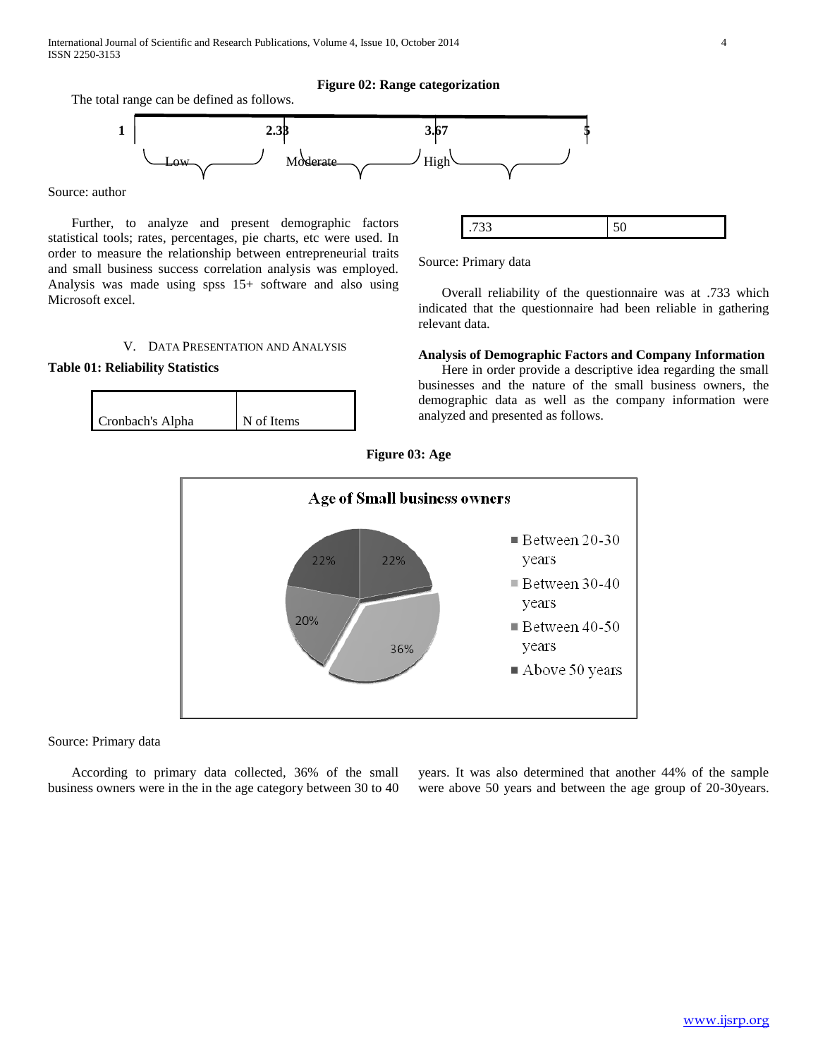# **Figure 02: Range categorization**

The total range can be defined as follows.



Source: author

 Further, to analyze and present demographic factors statistical tools; rates, percentages, pie charts, etc were used. In order to measure the relationship between entrepreneurial traits and small business success correlation analysis was employed. Analysis was made using spss 15+ software and also using Microsoft excel.

# V. DATA PRESENTATION AND ANALYSIS

# **Table 01: Reliability Statistics**

| Cronbach's Alpha | N of Items |
|------------------|------------|



Source: Primary data

 Overall reliability of the questionnaire was at .733 which indicated that the questionnaire had been reliable in gathering relevant data.

# **Analysis of Demographic Factors and Company Information**

 Here in order provide a descriptive idea regarding the small businesses and the nature of the small business owners, the demographic data as well as the company information were analyzed and presented as follows.





## Source: Primary data

 According to primary data collected, 36% of the small business owners were in the in the age category between 30 to 40 years. It was also determined that another 44% of the sample were above 50 years and between the age group of 20-30years.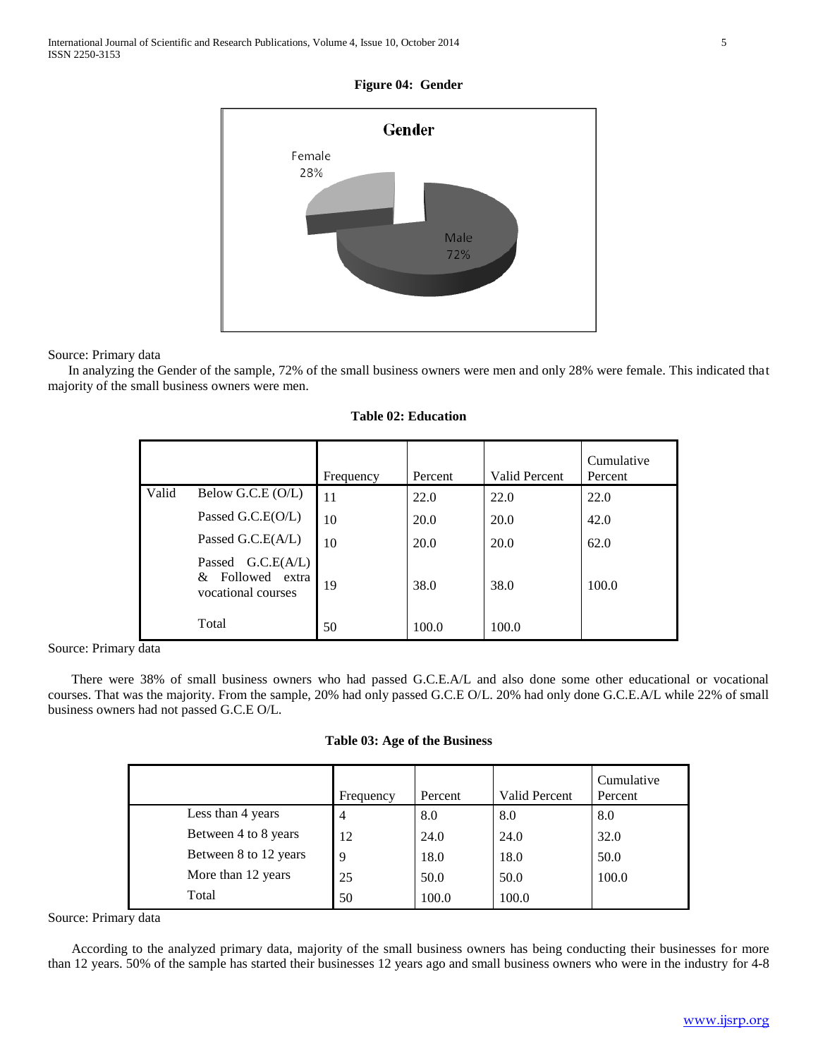# **Figure 04: Gender**



Source: Primary data

 In analyzing the Gender of the sample, 72% of the small business owners were men and only 28% were female. This indicated that majority of the small business owners were men.

|       |                                                             |           |         |                      | Cumulative |
|-------|-------------------------------------------------------------|-----------|---------|----------------------|------------|
|       |                                                             | Frequency | Percent | <b>Valid Percent</b> | Percent    |
| Valid | Below G.C.E (O/L)                                           | 11        | 22.0    | 22.0                 | 22.0       |
|       | Passed G.C.E(O/L)                                           | 10        | 20.0    | 20.0                 | 42.0       |
|       | Passed G.C.E(A/L)                                           | 10        | 20.0    | 20.0                 | 62.0       |
|       | Passed G.C.E(A/L)<br>& Followed extra<br>vocational courses | 19        | 38.0    | 38.0                 | 100.0      |
|       | Total                                                       | 50        | 100.0   | 100.0                |            |

### **Table 02: Education**

Source: Primary data

 There were 38% of small business owners who had passed G.C.E.A/L and also done some other educational or vocational courses. That was the majority. From the sample, 20% had only passed G.C.E O/L. 20% had only done G.C.E.A/L while 22% of small business owners had not passed G.C.E O/L.

| Table 03: Age of the Business |  |  |  |
|-------------------------------|--|--|--|
|-------------------------------|--|--|--|

|                       | Frequency      | Percent | Valid Percent | Cumulative<br>Percent |
|-----------------------|----------------|---------|---------------|-----------------------|
| Less than 4 years     | $\overline{4}$ | 8.0     | 8.0           | 8.0                   |
| Between 4 to 8 years  | 12             | 24.0    | 24.0          | 32.0                  |
| Between 8 to 12 years | 9              | 18.0    | 18.0          | 50.0                  |
| More than 12 years    | 25             | 50.0    | 50.0          | 100.0                 |
| Total                 | 50             | 100.0   | 100.0         |                       |

Source: Primary data

 According to the analyzed primary data, majority of the small business owners has being conducting their businesses for more than 12 years. 50% of the sample has started their businesses 12 years ago and small business owners who were in the industry for 4-8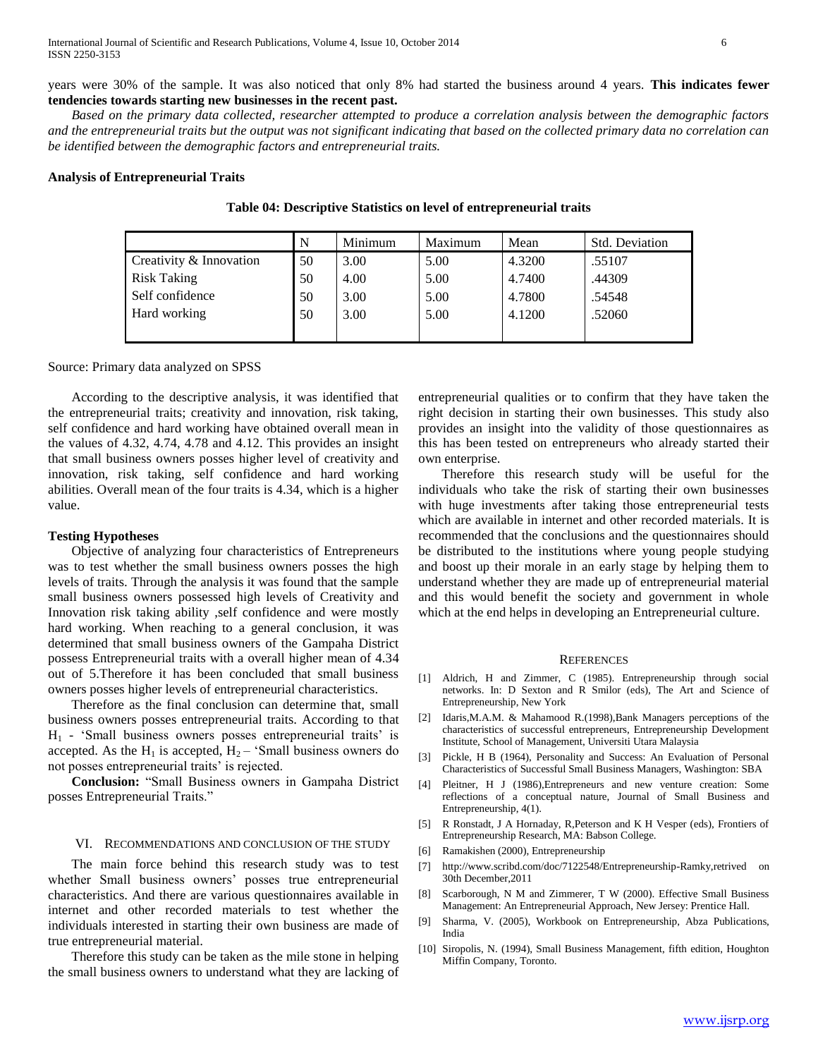years were 30% of the sample. It was also noticed that only 8% had started the business around 4 years. **This indicates fewer tendencies towards starting new businesses in the recent past.**

 *Based on the primary data collected, researcher attempted to produce a correlation analysis between the demographic factors and the entrepreneurial traits but the output was not significant indicating that based on the collected primary data no correlation can be identified between the demographic factors and entrepreneurial traits.*

## **Analysis of Entrepreneurial Traits**

|                         | N  | Minimum | Maximum | Mean   | <b>Std. Deviation</b> |
|-------------------------|----|---------|---------|--------|-----------------------|
| Creativity & Innovation | 50 | 3.00    | 5.00    | 4.3200 | .55107                |
| <b>Risk Taking</b>      | 50 | 4.00    | 5.00    | 4.7400 | .44309                |
| Self confidence         | 50 | 3.00    | 5.00    | 4.7800 | .54548                |
| Hard working            | 50 | 3.00    | 5.00    | 4.1200 | .52060                |
|                         |    |         |         |        |                       |

**Table 04: Descriptive Statistics on level of entrepreneurial traits**

## Source: Primary data analyzed on SPSS

 According to the descriptive analysis, it was identified that the entrepreneurial traits; creativity and innovation, risk taking, self confidence and hard working have obtained overall mean in the values of 4.32, 4.74, 4.78 and 4.12. This provides an insight that small business owners posses higher level of creativity and innovation, risk taking, self confidence and hard working abilities. Overall mean of the four traits is 4.34, which is a higher value.

## **Testing Hypotheses**

 Objective of analyzing four characteristics of Entrepreneurs was to test whether the small business owners posses the high levels of traits. Through the analysis it was found that the sample small business owners possessed high levels of Creativity and Innovation risk taking ability ,self confidence and were mostly hard working. When reaching to a general conclusion, it was determined that small business owners of the Gampaha District possess Entrepreneurial traits with a overall higher mean of 4.34 out of 5.Therefore it has been concluded that small business owners posses higher levels of entrepreneurial characteristics.

 Therefore as the final conclusion can determine that, small business owners posses entrepreneurial traits. According to that  $H<sub>1</sub>$  - 'Small business owners posses entrepreneurial traits' is accepted. As the H<sub>1</sub> is accepted,  $H_2$  – 'Small business owners do not posses entrepreneurial traits' is rejected.

 **Conclusion:** "Small Business owners in Gampaha District posses Entrepreneurial Traits."

## VI. RECOMMENDATIONS AND CONCLUSION OF THE STUDY

 The main force behind this research study was to test whether Small business owners" posses true entrepreneurial characteristics. And there are various questionnaires available in internet and other recorded materials to test whether the individuals interested in starting their own business are made of true entrepreneurial material.

 Therefore this study can be taken as the mile stone in helping the small business owners to understand what they are lacking of entrepreneurial qualities or to confirm that they have taken the right decision in starting their own businesses. This study also provides an insight into the validity of those questionnaires as this has been tested on entrepreneurs who already started their own enterprise.

 Therefore this research study will be useful for the individuals who take the risk of starting their own businesses with huge investments after taking those entrepreneurial tests which are available in internet and other recorded materials. It is recommended that the conclusions and the questionnaires should be distributed to the institutions where young people studying and boost up their morale in an early stage by helping them to understand whether they are made up of entrepreneurial material and this would benefit the society and government in whole which at the end helps in developing an Entrepreneurial culture.

#### **REFERENCES**

- [1] Aldrich, H and Zimmer, C (1985). Entrepreneurship through social networks. In: D Sexton and R Smilor (eds), The Art and Science of Entrepreneurship, New York
- [2] Idaris,M.A.M. & Mahamood R.(1998),Bank Managers perceptions of the characteristics of successful entrepreneurs, Entrepreneurship Development Institute, School of Management, Universiti Utara Malaysia
- [3] Pickle, H B (1964), Personality and Success: An Evaluation of Personal Characteristics of Successful Small Business Managers, Washington: SBA
- [4] Pleitner, H J (1986),Entrepreneurs and new venture creation: Some reflections of a conceptual nature, Journal of Small Business and Entrepreneurship, 4(1).
- [5] R Ronstadt, J A Hornaday, R,Peterson and K H Vesper (eds), Frontiers of Entrepreneurship Research, MA: Babson College.
- [6] Ramakishen (2000), Entrepreneurship
- [7] http://www.scribd.com/doc/7122548/Entrepreneurship-Ramky,retrived on 30th December,2011
- [8] Scarborough, N M and Zimmerer, T W (2000). Effective Small Business Management: An Entrepreneurial Approach, New Jersey: Prentice Hall.
- [9] Sharma, V. (2005), Workbook on Entrepreneurship, Abza Publications, India
- [10] Siropolis, N. (1994), Small Business Management, fifth edition, Houghton Miffin Company, Toronto.